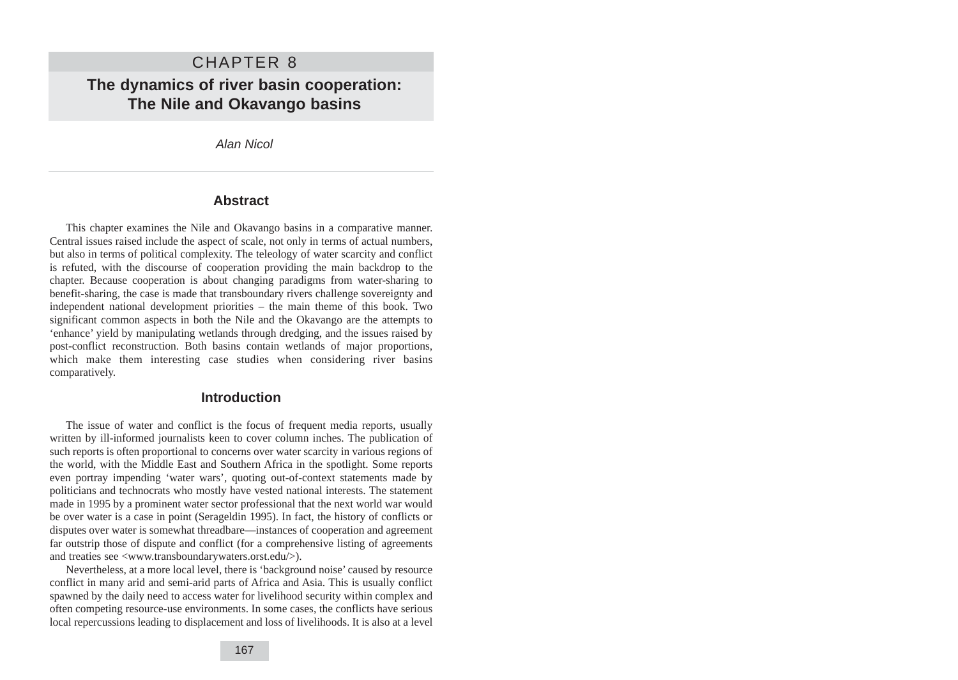# CHAPTER 8 **The dynamics of river basin cooperation: The Nile and Okavango basins**

Alan Nicol

#### **Abstract**

This chapter examines the Nile and Okavango basins in a comparative manner. Central issues raised include the aspect of scale, not only in terms of actual numbers, but also in terms of political complexity. The teleology of water scarcity and conflict is refuted, with the discourse of cooperation providing the main backdrop to the chapter. Because cooperation is about changing paradigms from water-sharing to benefit-sharing, the case is made that transboundary rivers challenge sovereignty and independent national development priorities – the main theme of this book. Two significant common aspects in both the Nile and the Okavango are the attempts to 'enhance' yield by manipulating wetlands through dredging, and the issues raised by post-conflict reconstruction. Both basins contain wetlands of major proportions, which make them interesting case studies when considering river basins comparatively.

## **Introduction**

The issue of water and conflict is the focus of frequent media reports, usually written by ill-informed journalists keen to cover column inches. The publication of such reports is often proportional to concerns over water scarcity in various regions of the world, with the Middle East and Southern Africa in the spotlight. Some reports even portray impending 'water wars', quoting out-of-context statements made by politicians and technocrats who mostly have vested national interests. The statement made in 1995 by a prominent water sector professional that the next world war would be over water is a case in point (Serageldin 1995). In fact, the history of conflicts or disputes over water is somewhat threadbare—instances of cooperation and agreement far outstrip those of dispute and conflict (for a comprehensive listing of agreements and treaties see <www.transboundarywaters.orst.edu/>).

Nevertheless, at a more local level, there is 'background noise' caused by resource conflict in many arid and semi-arid parts of Africa and Asia. This is usually conflict spawned by the daily need to access water for livelihood security within complex and often competing resource-use environments. In some cases, the conflicts have serious local repercussions leading to displacement and loss of livelihoods. It is also at a level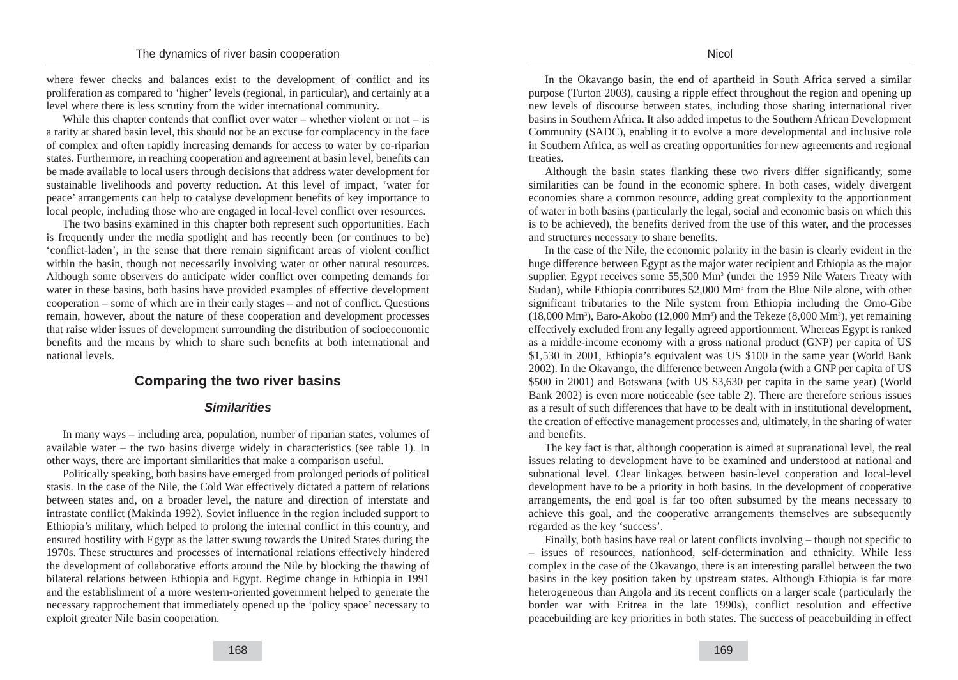where fewer checks and balances exist to the development of conflict and its proliferation as compared to 'higher' levels (regional, in particular), and certainly at a level where there is less scrutiny from the wider international community.

While this chapter contends that conflict over water – whether violent or not – is a rarity at shared basin level, this should not be an excuse for complacency in the face of complex and often rapidly increasing demands for access to water by co-riparian states. Furthermore, in reaching cooperation and agreement at basin level, benefits can be made available to local users through decisions that address water development for sustainable livelihoods and poverty reduction. At this level of impact, 'water for peace' arrangements can help to catalyse development benefits of key importance to local people, including those who are engaged in local-level conflict over resources.

The two basins examined in this chapter both represent such opportunities. Each is frequently under the media spotlight and has recently been (or continues to be) 'conflict-laden', in the sense that there remain significant areas of violent conflict within the basin, though not necessarily involving water or other natural resources. Although some observers do anticipate wider conflict over competing demands for water in these basins, both basins have provided examples of effective development cooperation – some of which are in their early stages – and not of conflict. Questions remain, however, about the nature of these cooperation and development processes that raise wider issues of development surrounding the distribution of socioeconomic benefits and the means by which to share such benefits at both international and national levels.

### **Comparing the two river basins**

#### **Similarities**

In many ways – including area, population, number of riparian states, volumes of available water – the two basins diverge widely in characteristics (see table 1). In other ways, there are important similarities that make a comparison useful.

Politically speaking, both basins have emerged from prolonged periods of political stasis. In the case of the Nile, the Cold War effectively dictated a pattern of relations between states and, on a broader level, the nature and direction of interstate and intrastate conflict (Makinda 1992). Soviet influence in the region included support to Ethiopia's military, which helped to prolong the internal conflict in this country, and ensured hostility with Egypt as the latter swung towards the United States during the 1970s. These structures and processes of international relations effectively hindered the development of collaborative efforts around the Nile by blocking the thawing of bilateral relations between Ethiopia and Egypt. Regime change in Ethiopia in 1991 and the establishment of a more western-oriented government helped to generate the necessary rapprochement that immediately opened up the 'policy space' necessary to exploit greater Nile basin cooperation.

In the Okavango basin, the end of apartheid in South Africa served a similar purpose (Turton 2003), causing a ripple effect throughout the region and opening up new levels of discourse between states, including those sharing international river basins in Southern Africa. It also added impetus to the Southern African Development Community (SADC), enabling it to evolve a more developmental and inclusive role in Southern Africa, as well as creating opportunities for new agreements and regional treaties.

Although the basin states flanking these two rivers differ significantly, some similarities can be found in the economic sphere. In both cases, widely divergent economies share a common resource, adding great complexity to the apportionment of water in both basins (particularly the legal, social and economic basis on which this is to be achieved), the benefits derived from the use of this water, and the processes and structures necessary to share benefits.

In the case of the Nile, the economic polarity in the basin is clearly evident in the huge difference between Egypt as the major water recipient and Ethiopia as the major supplier. Egypt receives some 55,500 Mm<sup>3</sup> (under the 1959 Nile Waters Treaty with Sudan), while Ethiopia contributes 52,000 Mm3 from the Blue Nile alone, with other significant tributaries to the Nile system from Ethiopia including the Omo-Gibe  $(18,000 \text{ Mm}^3)$ , Baro-Akobo  $(12,000 \text{ Mm}^3)$  and the Tekeze  $(8,000 \text{ Mm}^3)$ , yet remaining effectively excluded from any legally agreed apportionment. Whereas Egypt is ranked as a middle-income economy with a gross national product (GNP) per capita of US \$1,530 in 2001, Ethiopia's equivalent was US \$100 in the same year (World Bank 2002). In the Okavango, the difference between Angola (with a GNP per capita of US \$500 in 2001) and Botswana (with US \$3,630 per capita in the same year) (World Bank 2002) is even more noticeable (see table 2). There are therefore serious issues as a result of such differences that have to be dealt with in institutional development, the creation of effective management processes and, ultimately, in the sharing of water and benefits.

The key fact is that, although cooperation is aimed at supranational level, the real issues relating to development have to be examined and understood at national and subnational level. Clear linkages between basin-level cooperation and local-level development have to be a priority in both basins. In the development of cooperative arrangements, the end goal is far too often subsumed by the means necessary to achieve this goal, and the cooperative arrangements themselves are subsequently regarded as the key 'success'.

Finally, both basins have real or latent conflicts involving – though not specific to – issues of resources, nationhood, self-determination and ethnicity. While less complex in the case of the Okavango, there is an interesting parallel between the two basins in the key position taken by upstream states. Although Ethiopia is far more heterogeneous than Angola and its recent conflicts on a larger scale (particularly the border war with Eritrea in the late 1990s), conflict resolution and effective peacebuilding are key priorities in both states. The success of peacebuilding in effect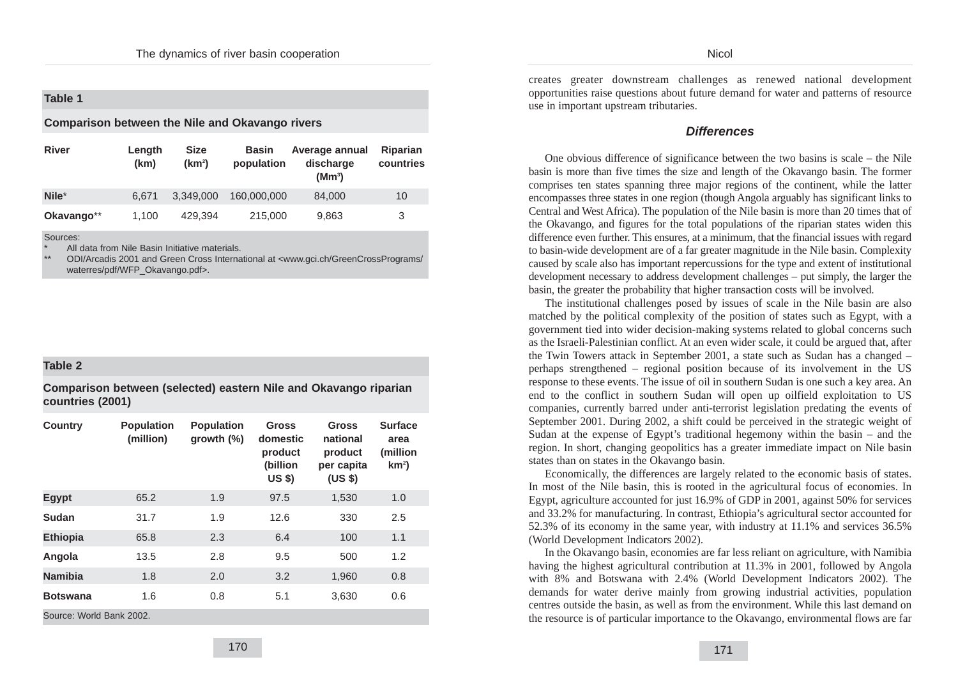### **Table 1**

#### **Comparison between the Nile and Okavango rivers**

| <b>River</b> | Length<br>(km) | <b>Size</b><br>(km <sup>2</sup> ) | <b>Basin</b><br>population | Average annual<br>discharge<br>(Mm <sup>3</sup> ) | Riparian<br>countries |
|--------------|----------------|-----------------------------------|----------------------------|---------------------------------------------------|-----------------------|
| Nile*        | 6.671          | 3,349,000                         | 160,000,000                | 84,000                                            | 10                    |
| Okavango**   | 1.100          | 429.394                           | 215,000                    | 9,863                                             | 3                     |

#### Sources:

All data from Nile Basin Initiative materials.

ODI/Arcadis 2001 and Green Cross International at <www.gci.ch/GreenCrossPrograms/ waterres/pdf/WFP\_Okavango.pdf>.

#### **Table 2**

**Comparison between (selected) eastern Nile and Okavango riparian countries (2001)**

| <b>Country</b>           | <b>Population</b><br>(million) | <b>Population</b><br>growth $(\%)$ | <b>Gross</b><br>domestic<br>product<br>(billion<br><b>US \$)</b> | Gross<br>national<br>product<br>per capita<br>(USS) | <b>Surface</b><br>area<br>(million<br>km <sup>2</sup> |  |  |  |
|--------------------------|--------------------------------|------------------------------------|------------------------------------------------------------------|-----------------------------------------------------|-------------------------------------------------------|--|--|--|
| Egypt                    | 65.2                           | 1.9                                | 97.5                                                             | 1,530                                               | 1.0                                                   |  |  |  |
| Sudan                    | 31.7                           | 1.9                                | 12.6                                                             | 330                                                 | 2.5                                                   |  |  |  |
| <b>Ethiopia</b>          | 65.8                           | 2.3                                | 6.4                                                              | 100                                                 | 1.1                                                   |  |  |  |
| Angola                   | 13.5                           | 2.8                                | 9.5                                                              | 500                                                 | 1.2                                                   |  |  |  |
| <b>Namibia</b>           | 1.8                            | 2.0                                | 3.2                                                              | 1,960                                               | 0.8                                                   |  |  |  |
| <b>Botswana</b>          | 1.6                            | 0.8                                | 5.1                                                              | 3,630                                               | 0.6                                                   |  |  |  |
| Source: World Bank 2002. |                                |                                    |                                                                  |                                                     |                                                       |  |  |  |

**Nicol** 

creates greater downstream challenges as renewed national development opportunities raise questions about future demand for water and patterns of resource use in important upstream tributaries.

#### **Differences**

One obvious difference of significance between the two basins is scale – the Nile basin is more than five times the size and length of the Okavango basin. The former comprises ten states spanning three major regions of the continent, while the latter encompasses three states in one region (though Angola arguably has significant links to Central and West Africa). The population of the Nile basin is more than 20 times that of the Okavango, and figures for the total populations of the riparian states widen this difference even further. This ensures, at a minimum, that the financial issues with regard to basin-wide development are of a far greater magnitude in the Nile basin. Complexity caused by scale also has important repercussions for the type and extent of institutional development necessary to address development challenges – put simply, the larger the basin, the greater the probability that higher transaction costs will be involved.

The institutional challenges posed by issues of scale in the Nile basin are also matched by the political complexity of the position of states such as Egypt, with a government tied into wider decision-making systems related to global concerns such as the Israeli-Palestinian conflict. At an even wider scale, it could be argued that, after the Twin Towers attack in September 2001, a state such as Sudan has a changed – perhaps strengthened – regional position because of its involvement in the US response to these events. The issue of oil in southern Sudan is one such a key area. An end to the conflict in southern Sudan will open up oilfield exploitation to US companies, currently barred under anti-terrorist legislation predating the events of September 2001. During 2002, a shift could be perceived in the strategic weight of Sudan at the expense of Egypt's traditional hegemony within the basin – and the region. In short, changing geopolitics has a greater immediate impact on Nile basin states than on states in the Okavango basin.

Economically, the differences are largely related to the economic basis of states. In most of the Nile basin, this is rooted in the agricultural focus of economies. In Egypt, agriculture accounted for just 16.9% of GDP in 2001, against 50% for services and 33.2% for manufacturing. In contrast, Ethiopia's agricultural sector accounted for 52.3% of its economy in the same year, with industry at 11.1% and services 36.5% (World Development Indicators 2002).

In the Okavango basin, economies are far less reliant on agriculture, with Namibia having the highest agricultural contribution at 11.3% in 2001, followed by Angola with 8% and Botswana with 2.4% (World Development Indicators 2002). The demands for water derive mainly from growing industrial activities, population centres outside the basin, as well as from the environment. While this last demand on the resource is of particular importance to the Okavango, environmental flows are far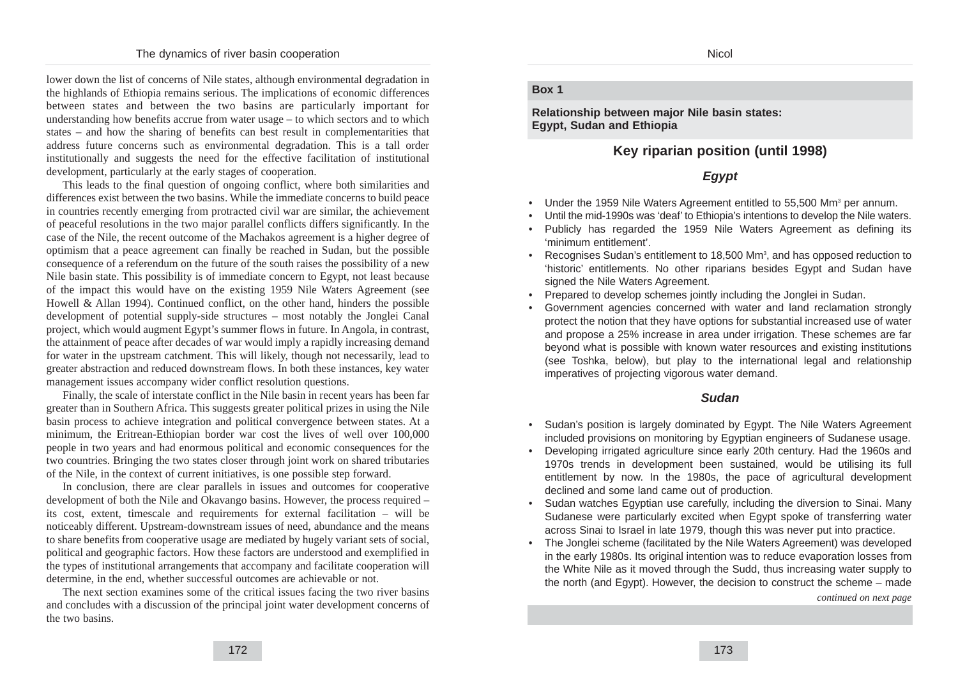lower down the list of concerns of Nile states, although environmental degradation in the highlands of Ethiopia remains serious. The implications of economic differences between states and between the two basins are particularly important for understanding how benefits accrue from water usage – to which sectors and to which states – and how the sharing of benefits can best result in complementarities that address future concerns such as environmental degradation. This is a tall order institutionally and suggests the need for the effective facilitation of institutional development, particularly at the early stages of cooperation.

This leads to the final question of ongoing conflict, where both similarities and differences exist between the two basins. While the immediate concerns to build peace in countries recently emerging from protracted civil war are similar, the achievement of peaceful resolutions in the two major parallel conflicts differs significantly. In the case of the Nile, the recent outcome of the Machakos agreement is a higher degree of optimism that a peace agreement can finally be reached in Sudan, but the possible consequence of a referendum on the future of the south raises the possibility of a new Nile basin state. This possibility is of immediate concern to Egypt, not least because of the impact this would have on the existing 1959 Nile Waters Agreement (see Howell  $\&$  Allan 1994). Continued conflict, on the other hand, hinders the possible development of potential supply-side structures – most notably the Jonglei Canal project, which would augment Egypt's summer flows in future. In Angola, in contrast, the attainment of peace after decades of war would imply a rapidly increasing demand for water in the upstream catchment. This will likely, though not necessarily, lead to greater abstraction and reduced downstream flows. In both these instances, key water management issues accompany wider conflict resolution questions.

Finally, the scale of interstate conflict in the Nile basin in recent years has been far greater than in Southern Africa. This suggests greater political prizes in using the Nile basin process to achieve integration and political convergence between states. At a minimum, the Eritrean-Ethiopian border war cost the lives of well over 100,000 people in two years and had enormous political and economic consequences for the two countries. Bringing the two states closer through joint work on shared tributaries of the Nile, in the context of current initiatives, is one possible step forward.

In conclusion, there are clear parallels in issues and outcomes for cooperative development of both the Nile and Okavango basins. However, the process required – its cost, extent, timescale and requirements for external facilitation – will be noticeably different. Upstream-downstream issues of need, abundance and the means to share benefits from cooperative usage are mediated by hugely variant sets of social, political and geographic factors. How these factors are understood and exemplified in the types of institutional arrangements that accompany and facilitate cooperation will determine, in the end, whether successful outcomes are achievable or not.

The next section examines some of the critical issues facing the two river basins and concludes with a discussion of the principal joint water development concerns of the two basins.

#### **Nicol**

#### **Box 1**

**Relationship between major Nile basin states: Egypt, Sudan and Ethiopia**

# **Key riparian position (until 1998)**

## **Egypt**

- Under the 1959 Nile Waters Agreement entitled to 55,500 Mm<sup>3</sup> per annum.
- Until the mid-1990s was 'deaf' to Ethiopia's intentions to develop the Nile waters.
- Publicly has regarded the 1959 Nile Waters Agreement as defining its 'minimum entitlement'.
- Recognises Sudan's entitlement to 18,500 Mm<sup>3</sup>, and has opposed reduction to 'historic' entitlements. No other riparians besides Egypt and Sudan have signed the Nile Waters Agreement.
- Prepared to develop schemes jointly including the Jonglei in Sudan.
- Government agencies concerned with water and land reclamation strongly protect the notion that they have options for substantial increased use of water and propose a 25% increase in area under irrigation. These schemes are far beyond what is possible with known water resources and existing institutions (see Toshka, below), but play to the international legal and relationship imperatives of projecting vigorous water demand.

#### **Sudan**

- Sudan's position is largely dominated by Egypt. The Nile Waters Agreement included provisions on monitoring by Egyptian engineers of Sudanese usage.
- Developing irrigated agriculture since early 20th century. Had the 1960s and 1970s trends in development been sustained, would be utilising its full entitlement by now. In the 1980s, the pace of agricultural development declined and some land came out of production.
- Sudan watches Egyptian use carefully, including the diversion to Sinai. Many Sudanese were particularly excited when Egypt spoke of transferring water across Sinai to Israel in late 1979, though this was never put into practice.
- The Jonglei scheme (facilitated by the Nile Waters Agreement) was developed in the early 1980s. Its original intention was to reduce evaporation losses from the White Nile as it moved through the Sudd, thus increasing water supply to the north (and Egypt). However, the decision to construct the scheme – made

*continued on next page*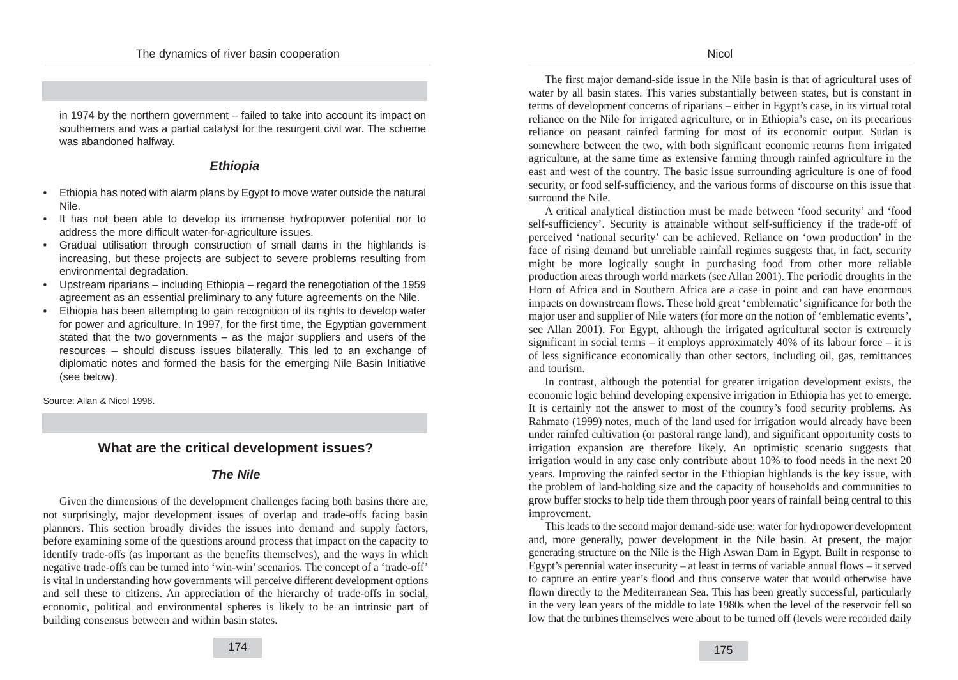in 1974 by the northern government – failed to take into account its impact on southerners and was a partial catalyst for the resurgent civil war. The scheme was abandoned halfway.

### **Ethiopia**

- Ethiopia has noted with alarm plans by Egypt to move water outside the natural Nile.
- It has not been able to develop its immense hydropower potential nor to address the more difficult water-for-agriculture issues.
- Gradual utilisation through construction of small dams in the highlands is increasing, but these projects are subject to severe problems resulting from environmental degradation.
- Upstream riparians including Ethiopia regard the renegotiation of the 1959 agreement as an essential preliminary to any future agreements on the Nile.
- Ethiopia has been attempting to gain recognition of its rights to develop water for power and agriculture. In 1997, for the first time, the Egyptian government stated that the two governments – as the major suppliers and users of the resources – should discuss issues bilaterally. This led to an exchange of diplomatic notes and formed the basis for the emerging Nile Basin Initiative (see below).

Source: Allan & Nicol 1998.

### **What are the critical development issues?**

#### **The Nile**

Given the dimensions of the development challenges facing both basins there are, not surprisingly, major development issues of overlap and trade-offs facing basin planners. This section broadly divides the issues into demand and supply factors, before examining some of the questions around process that impact on the capacity to identify trade-offs (as important as the benefits themselves), and the ways in which negative trade-offs can be turned into 'win-win' scenarios. The concept of a 'trade-off' is vital in understanding how governments will perceive different development options and sell these to citizens. An appreciation of the hierarchy of trade-offs in social, economic, political and environmental spheres is likely to be an intrinsic part of building consensus between and within basin states.

The first major demand-side issue in the Nile basin is that of agricultural uses of water by all basin states. This varies substantially between states, but is constant in terms of development concerns of riparians – either in Egypt's case, in its virtual total reliance on the Nile for irrigated agriculture, or in Ethiopia's case, on its precarious reliance on peasant rainfed farming for most of its economic output. Sudan is somewhere between the two, with both significant economic returns from irrigated agriculture, at the same time as extensive farming through rainfed agriculture in the east and west of the country. The basic issue surrounding agriculture is one of food security, or food self-sufficiency, and the various forms of discourse on this issue that surround the Nile.

A critical analytical distinction must be made between 'food security' and 'food self-sufficiency'. Security is attainable without self-sufficiency if the trade-off of perceived 'national security' can be achieved. Reliance on 'own production' in the face of rising demand but unreliable rainfall regimes suggests that, in fact, security might be more logically sought in purchasing food from other more reliable production areas through world markets (see Allan 2001). The periodic droughts in the Horn of Africa and in Southern Africa are a case in point and can have enormous impacts on downstream flows. These hold great 'emblematic' significance for both the major user and supplier of Nile waters (for more on the notion of 'emblematic events', see Allan 2001). For Egypt, although the irrigated agricultural sector is extremely significant in social terms – it employs approximately 40% of its labour force – it is of less significance economically than other sectors, including oil, gas, remittances and tourism.

In contrast, although the potential for greater irrigation development exists, the economic logic behind developing expensive irrigation in Ethiopia has yet to emerge. It is certainly not the answer to most of the country's food security problems. As Rahmato (1999) notes, much of the land used for irrigation would already have been under rainfed cultivation (or pastoral range land), and significant opportunity costs to irrigation expansion are therefore likely. An optimistic scenario suggests that irrigation would in any case only contribute about 10% to food needs in the next 20 years. Improving the rainfed sector in the Ethiopian highlands is the key issue, with the problem of land-holding size and the capacity of households and communities to grow buffer stocks to help tide them through poor years of rainfall being central to this improvement.

This leads to the second major demand-side use: water for hydropower development and, more generally, power development in the Nile basin. At present, the major generating structure on the Nile is the High Aswan Dam in Egypt. Built in response to Egypt's perennial water insecurity – at least in terms of variable annual flows – it served to capture an entire year's flood and thus conserve water that would otherwise have flown directly to the Mediterranean Sea. This has been greatly successful, particularly in the very lean years of the middle to late 1980s when the level of the reservoir fell so low that the turbines themselves were about to be turned off (levels were recorded daily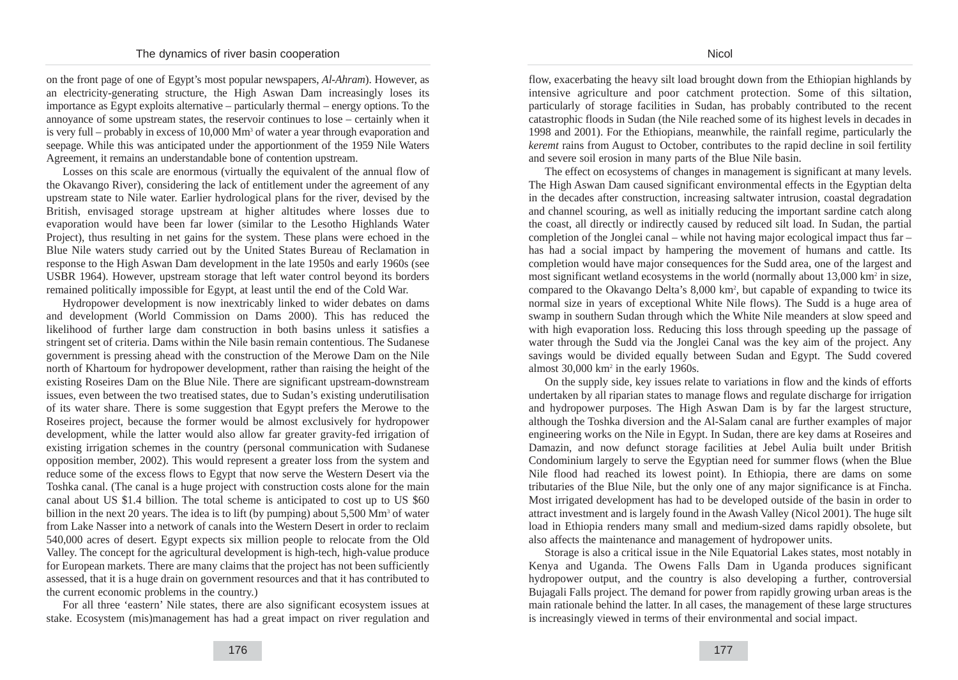on the front page of one of Egypt's most popular newspapers, *Al-Ahram*). However, as an electricity-generating structure, the High Aswan Dam increasingly loses its importance as Egypt exploits alternative – particularly thermal – energy options. To the annoyance of some upstream states, the reservoir continues to lose – certainly when it is very full – probably in excess of  $10,000$  Mm<sup>3</sup> of water a year through evaporation and seepage. While this was anticipated under the apportionment of the 1959 Nile Waters Agreement, it remains an understandable bone of contention upstream.

Losses on this scale are enormous (virtually the equivalent of the annual flow of the Okavango River), considering the lack of entitlement under the agreement of any upstream state to Nile water. Earlier hydrological plans for the river, devised by the British, envisaged storage upstream at higher altitudes where losses due to evaporation would have been far lower (similar to the Lesotho Highlands Water Project), thus resulting in net gains for the system. These plans were echoed in the Blue Nile waters study carried out by the United States Bureau of Reclamation in response to the High Aswan Dam development in the late 1950s and early 1960s (see USBR 1964). However, upstream storage that left water control beyond its borders remained politically impossible for Egypt, at least until the end of the Cold War.

Hydropower development is now inextricably linked to wider debates on dams and development (World Commission on Dams 2000). This has reduced the likelihood of further large dam construction in both basins unless it satisfies a stringent set of criteria. Dams within the Nile basin remain contentious. The Sudanese government is pressing ahead with the construction of the Merowe Dam on the Nile north of Khartoum for hydropower development, rather than raising the height of the existing Roseires Dam on the Blue Nile. There are significant upstream-downstream issues, even between the two treatised states, due to Sudan's existing underutilisation of its water share. There is some suggestion that Egypt prefers the Merowe to the Roseires project, because the former would be almost exclusively for hydropower development, while the latter would also allow far greater gravity-fed irrigation of existing irrigation schemes in the country (personal communication with Sudanese opposition member, 2002). This would represent a greater loss from the system and reduce some of the excess flows to Egypt that now serve the Western Desert via the Toshka canal. (The canal is a huge project with construction costs alone for the main canal about US \$1.4 billion. The total scheme is anticipated to cost up to US \$60 billion in the next 20 years. The idea is to lift (by pumping) about  $5,500$  Mm<sup>3</sup> of water from Lake Nasser into a network of canals into the Western Desert in order to reclaim 540,000 acres of desert. Egypt expects six million people to relocate from the Old Valley. The concept for the agricultural development is high-tech, high-value produce for European markets. There are many claims that the project has not been sufficiently assessed, that it is a huge drain on government resources and that it has contributed to the current economic problems in the country.)

For all three 'eastern' Nile states, there are also significant ecosystem issues at stake. Ecosystem (mis)management has had a great impact on river regulation and flow, exacerbating the heavy silt load brought down from the Ethiopian highlands by intensive agriculture and poor catchment protection. Some of this siltation, particularly of storage facilities in Sudan, has probably contributed to the recent catastrophic floods in Sudan (the Nile reached some of its highest levels in decades in 1998 and 2001). For the Ethiopians, meanwhile, the rainfall regime, particularly the *keremt* rains from August to October, contributes to the rapid decline in soil fertility and severe soil erosion in many parts of the Blue Nile basin.

The effect on ecosystems of changes in management is significant at many levels. The High Aswan Dam caused significant environmental effects in the Egyptian delta in the decades after construction, increasing saltwater intrusion, coastal degradation and channel scouring, as well as initially reducing the important sardine catch along the coast, all directly or indirectly caused by reduced silt load. In Sudan, the partial completion of the Jonglei canal – while not having major ecological impact thus far – has had a social impact by hampering the movement of humans and cattle. Its completion would have major consequences for the Sudd area, one of the largest and most significant wetland ecosystems in the world (normally about  $13,000 \text{ km}^2$  in size, compared to the Okavango Delta's 8,000 km<sup>2</sup>, but capable of expanding to twice its normal size in years of exceptional White Nile flows). The Sudd is a huge area of swamp in southern Sudan through which the White Nile meanders at slow speed and with high evaporation loss. Reducing this loss through speeding up the passage of water through the Sudd via the Jonglei Canal was the key aim of the project. Any savings would be divided equally between Sudan and Egypt. The Sudd covered almost 30,000 km2 in the early 1960s.

On the supply side, key issues relate to variations in flow and the kinds of efforts undertaken by all riparian states to manage flows and regulate discharge for irrigation and hydropower purposes. The High Aswan Dam is by far the largest structure, although the Toshka diversion and the Al-Salam canal are further examples of major engineering works on the Nile in Egypt. In Sudan, there are key dams at Roseires and Damazin, and now defunct storage facilities at Jebel Aulia built under British Condominium largely to serve the Egyptian need for summer flows (when the Blue Nile flood had reached its lowest point). In Ethiopia, there are dams on some tributaries of the Blue Nile, but the only one of any major significance is at Fincha. Most irrigated development has had to be developed outside of the basin in order to attract investment and is largely found in the Awash Valley (Nicol 2001). The huge silt load in Ethiopia renders many small and medium-sized dams rapidly obsolete, but also affects the maintenance and management of hydropower units.

Storage is also a critical issue in the Nile Equatorial Lakes states, most notably in Kenya and Uganda. The Owens Falls Dam in Uganda produces significant hydropower output, and the country is also developing a further, controversial Bujagali Falls project. The demand for power from rapidly growing urban areas is the main rationale behind the latter. In all cases, the management of these large structures is increasingly viewed in terms of their environmental and social impact.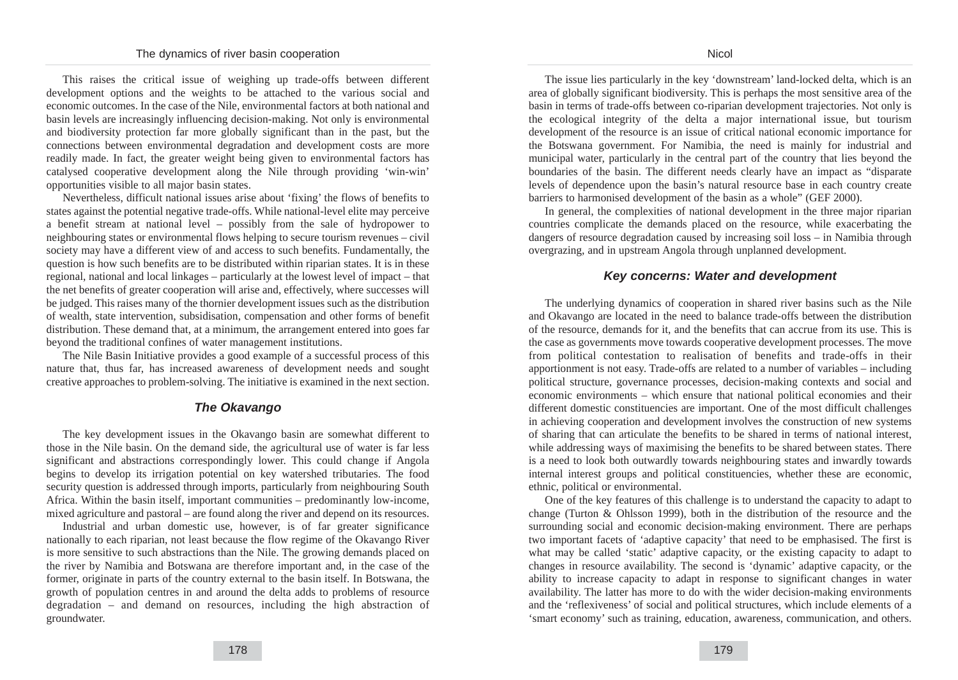This raises the critical issue of weighing up trade-offs between different development options and the weights to be attached to the various social and economic outcomes. In the case of the Nile, environmental factors at both national and basin levels are increasingly influencing decision-making. Not only is environmental and biodiversity protection far more globally significant than in the past, but the connections between environmental degradation and development costs are more readily made. In fact, the greater weight being given to environmental factors has catalysed cooperative development along the Nile through providing 'win-win' opportunities visible to all major basin states.

Nevertheless, difficult national issues arise about 'fixing' the flows of benefits to states against the potential negative trade-offs. While national-level elite may perceive a benefit stream at national level – possibly from the sale of hydropower to neighbouring states or environmental flows helping to secure tourism revenues – civil society may have a different view of and access to such benefits. Fundamentally, the question is how such benefits are to be distributed within riparian states. It is in these regional, national and local linkages – particularly at the lowest level of impact – that the net benefits of greater cooperation will arise and, effectively, where successes will be judged. This raises many of the thornier development issues such as the distribution of wealth, state intervention, subsidisation, compensation and other forms of benefit distribution. These demand that, at a minimum, the arrangement entered into goes far beyond the traditional confines of water management institutions.

The Nile Basin Initiative provides a good example of a successful process of this nature that, thus far, has increased awareness of development needs and sought creative approaches to problem-solving. The initiative is examined in the next section.

### **The Okavango**

The key development issues in the Okavango basin are somewhat different to those in the Nile basin. On the demand side, the agricultural use of water is far less significant and abstractions correspondingly lower. This could change if Angola begins to develop its irrigation potential on key watershed tributaries. The food security question is addressed through imports, particularly from neighbouring South Africa. Within the basin itself, important communities – predominantly low-income, mixed agriculture and pastoral – are found along the river and depend on its resources.

Industrial and urban domestic use, however, is of far greater significance nationally to each riparian, not least because the flow regime of the Okavango River is more sensitive to such abstractions than the Nile. The growing demands placed on the river by Namibia and Botswana are therefore important and, in the case of the former, originate in parts of the country external to the basin itself. In Botswana, the growth of population centres in and around the delta adds to problems of resource degradation – and demand on resources, including the high abstraction of groundwater.

The issue lies particularly in the key 'downstream' land-locked delta, which is an area of globally significant biodiversity. This is perhaps the most sensitive area of the basin in terms of trade-offs between co-riparian development trajectories. Not only is the ecological integrity of the delta a major international issue, but tourism development of the resource is an issue of critical national economic importance for the Botswana government. For Namibia, the need is mainly for industrial and municipal water, particularly in the central part of the country that lies beyond the boundaries of the basin. The different needs clearly have an impact as "disparate levels of dependence upon the basin's natural resource base in each country create barriers to harmonised development of the basin as a whole" (GEF 2000).

In general, the complexities of national development in the three major riparian countries complicate the demands placed on the resource, while exacerbating the dangers of resource degradation caused by increasing soil loss – in Namibia through overgrazing, and in upstream Angola through unplanned development.

### **Key concerns: Water and development**

The underlying dynamics of cooperation in shared river basins such as the Nile and Okavango are located in the need to balance trade-offs between the distribution of the resource, demands for it, and the benefits that can accrue from its use. This is the case as governments move towards cooperative development processes. The move from political contestation to realisation of benefits and trade-offs in their apportionment is not easy. Trade-offs are related to a number of variables – including political structure, governance processes, decision-making contexts and social and economic environments – which ensure that national political economies and their different domestic constituencies are important. One of the most difficult challenges in achieving cooperation and development involves the construction of new systems of sharing that can articulate the benefits to be shared in terms of national interest, while addressing ways of maximising the benefits to be shared between states. There is a need to look both outwardly towards neighbouring states and inwardly towards internal interest groups and political constituencies, whether these are economic, ethnic, political or environmental.

One of the key features of this challenge is to understand the capacity to adapt to change (Turton & Ohlsson 1999), both in the distribution of the resource and the surrounding social and economic decision-making environment. There are perhaps two important facets of 'adaptive capacity' that need to be emphasised. The first is what may be called 'static' adaptive capacity, or the existing capacity to adapt to changes in resource availability. The second is 'dynamic' adaptive capacity, or the ability to increase capacity to adapt in response to significant changes in water availability. The latter has more to do with the wider decision-making environments and the 'reflexiveness' of social and political structures, which include elements of a 'smart economy' such as training, education, awareness, communication, and others.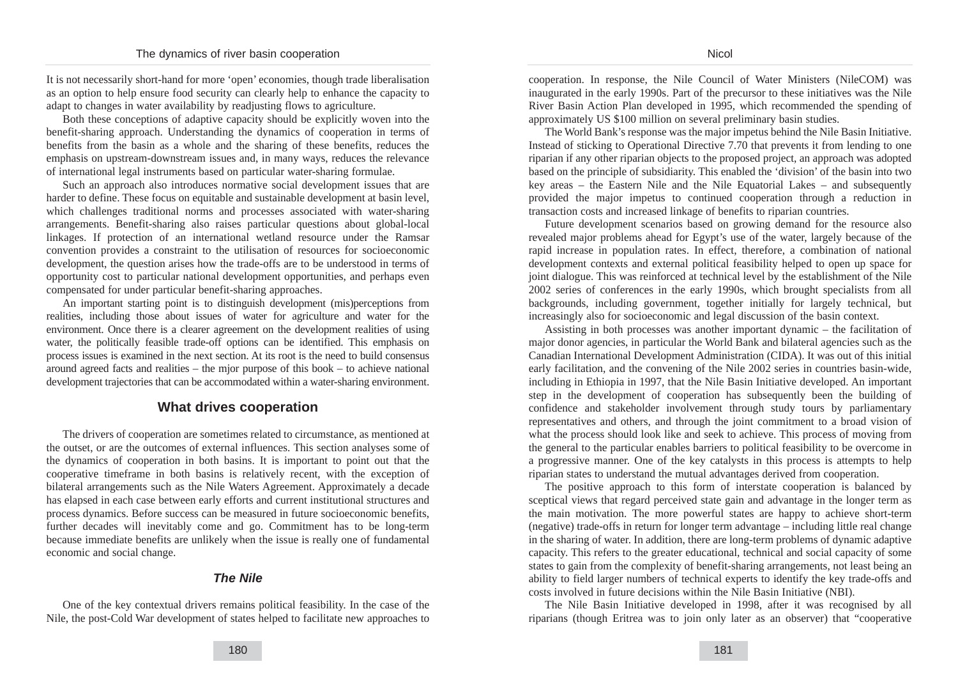It is not necessarily short-hand for more 'open' economies, though trade liberalisation as an option to help ensure food security can clearly help to enhance the capacity to adapt to changes in water availability by readjusting flows to agriculture.

Both these conceptions of adaptive capacity should be explicitly woven into the benefit-sharing approach. Understanding the dynamics of cooperation in terms of benefits from the basin as a whole and the sharing of these benefits, reduces the emphasis on upstream-downstream issues and, in many ways, reduces the relevance of international legal instruments based on particular water-sharing formulae.

Such an approach also introduces normative social development issues that are harder to define. These focus on equitable and sustainable development at basin level, which challenges traditional norms and processes associated with water-sharing arrangements. Benefit-sharing also raises particular questions about global-local linkages. If protection of an international wetland resource under the Ramsar convention provides a constraint to the utilisation of resources for socioeconomic development, the question arises how the trade-offs are to be understood in terms of opportunity cost to particular national development opportunities, and perhaps even compensated for under particular benefit-sharing approaches.

An important starting point is to distinguish development (mis)perceptions from realities, including those about issues of water for agriculture and water for the environment. Once there is a clearer agreement on the development realities of using water, the politically feasible trade-off options can be identified. This emphasis on process issues is examined in the next section. At its root is the need to build consensus around agreed facts and realities – the mjor purpose of this book – to achieve national development trajectories that can be accommodated within a water-sharing environment.

### **What drives cooperation**

The drivers of cooperation are sometimes related to circumstance, as mentioned at the outset, or are the outcomes of external influences. This section analyses some of the dynamics of cooperation in both basins. It is important to point out that the cooperative timeframe in both basins is relatively recent, with the exception of bilateral arrangements such as the Nile Waters Agreement. Approximately a decade has elapsed in each case between early efforts and current institutional structures and process dynamics. Before success can be measured in future socioeconomic benefits, further decades will inevitably come and go. Commitment has to be long-term because immediate benefits are unlikely when the issue is really one of fundamental economic and social change.

## **The Nile**

One of the key contextual drivers remains political feasibility. In the case of the Nile, the post-Cold War development of states helped to facilitate new approaches to

The World Bank's response was the major impetus behind the Nile Basin Initiative. Instead of sticking to Operational Directive 7.70 that prevents it from lending to one riparian if any other riparian objects to the proposed project, an approach was adopted based on the principle of subsidiarity. This enabled the 'division' of the basin into two key areas – the Eastern Nile and the Nile Equatorial Lakes – and subsequently provided the major impetus to continued cooperation through a reduction in transaction costs and increased linkage of benefits to riparian countries.

Future development scenarios based on growing demand for the resource also revealed major problems ahead for Egypt's use of the water, largely because of the rapid increase in population rates. In effect, therefore, a combination of national development contexts and external political feasibility helped to open up space for joint dialogue. This was reinforced at technical level by the establishment of the Nile 2002 series of conferences in the early 1990s, which brought specialists from all backgrounds, including government, together initially for largely technical, but increasingly also for socioeconomic and legal discussion of the basin context.

Assisting in both processes was another important dynamic – the facilitation of major donor agencies, in particular the World Bank and bilateral agencies such as the Canadian International Development Administration (CIDA). It was out of this initial early facilitation, and the convening of the Nile 2002 series in countries basin-wide, including in Ethiopia in 1997, that the Nile Basin Initiative developed. An important step in the development of cooperation has subsequently been the building of confidence and stakeholder involvement through study tours by parliamentary representatives and others, and through the joint commitment to a broad vision of what the process should look like and seek to achieve. This process of moving from the general to the particular enables barriers to political feasibility to be overcome in a progressive manner. One of the key catalysts in this process is attempts to help riparian states to understand the mutual advantages derived from cooperation.

The positive approach to this form of interstate cooperation is balanced by sceptical views that regard perceived state gain and advantage in the longer term as the main motivation. The more powerful states are happy to achieve short-term (negative) trade-offs in return for longer term advantage – including little real change in the sharing of water. In addition, there are long-term problems of dynamic adaptive capacity. This refers to the greater educational, technical and social capacity of some states to gain from the complexity of benefit-sharing arrangements, not least being an ability to field larger numbers of technical experts to identify the key trade-offs and costs involved in future decisions within the Nile Basin Initiative (NBI).

The Nile Basin Initiative developed in 1998, after it was recognised by all riparians (though Eritrea was to join only later as an observer) that "cooperative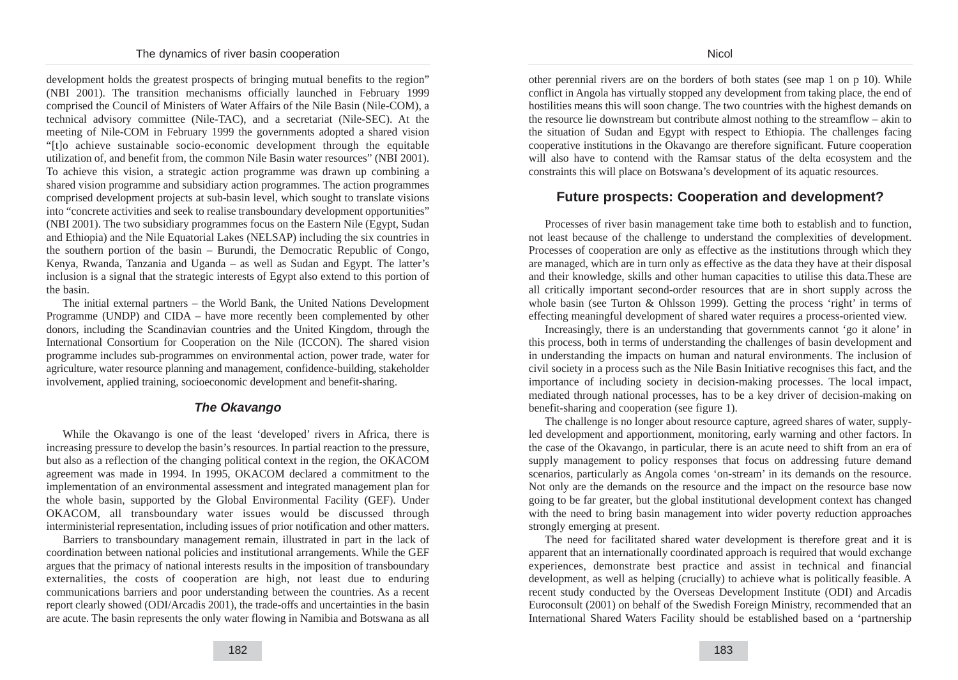development holds the greatest prospects of bringing mutual benefits to the region" (NBI 2001). The transition mechanisms officially launched in February 1999 comprised the Council of Ministers of Water Affairs of the Nile Basin (Nile-COM), a technical advisory committee (Nile-TAC), and a secretariat (Nile-SEC). At the meeting of Nile-COM in February 1999 the governments adopted a shared vision "[t]o achieve sustainable socio-economic development through the equitable utilization of, and benefit from, the common Nile Basin water resources" (NBI 2001). To achieve this vision, a strategic action programme was drawn up combining a shared vision programme and subsidiary action programmes. The action programmes comprised development projects at sub-basin level, which sought to translate visions into "concrete activities and seek to realise transboundary development opportunities" (NBI 2001). The two subsidiary programmes focus on the Eastern Nile (Egypt, Sudan and Ethiopia) and the Nile Equatorial Lakes (NELSAP) including the six countries in the southern portion of the basin – Burundi, the Democratic Republic of Congo, Kenya, Rwanda, Tanzania and Uganda – as well as Sudan and Egypt. The latter's inclusion is a signal that the strategic interests of Egypt also extend to this portion of the basin.

The initial external partners – the World Bank, the United Nations Development Programme (UNDP) and CIDA – have more recently been complemented by other donors, including the Scandinavian countries and the United Kingdom, through the International Consortium for Cooperation on the Nile (ICCON). The shared vision programme includes sub-programmes on environmental action, power trade, water for agriculture, water resource planning and management, confidence-building, stakeholder involvement, applied training, socioeconomic development and benefit-sharing.

### **The Okavango**

While the Okavango is one of the least 'developed' rivers in Africa, there is increasing pressure to develop the basin's resources. In partial reaction to the pressure, but also as a reflection of the changing political context in the region, the OKACOM agreement was made in 1994. In 1995, OKACOM declared a commitment to the implementation of an environmental assessment and integrated management plan for the whole basin, supported by the Global Environmental Facility (GEF). Under OKACOM, all transboundary water issues would be discussed through interministerial representation, including issues of prior notification and other matters.

Barriers to transboundary management remain, illustrated in part in the lack of coordination between national policies and institutional arrangements. While the GEF argues that the primacy of national interests results in the imposition of transboundary externalities, the costs of cooperation are high, not least due to enduring communications barriers and poor understanding between the countries. As a recent report clearly showed (ODI/Arcadis 2001), the trade-offs and uncertainties in the basin are acute. The basin represents the only water flowing in Namibia and Botswana as all other perennial rivers are on the borders of both states (see map 1 on p 10). While conflict in Angola has virtually stopped any development from taking place, the end of hostilities means this will soon change. The two countries with the highest demands on the resource lie downstream but contribute almost nothing to the streamflow – akin to the situation of Sudan and Egypt with respect to Ethiopia. The challenges facing cooperative institutions in the Okavango are therefore significant. Future cooperation will also have to contend with the Ramsar status of the delta ecosystem and the constraints this will place on Botswana's development of its aquatic resources.

# **Future prospects: Cooperation and development?**

Processes of river basin management take time both to establish and to function, not least because of the challenge to understand the complexities of development. Processes of cooperation are only as effective as the institutions through which they are managed, which are in turn only as effective as the data they have at their disposal and their knowledge, skills and other human capacities to utilise this data.These are all critically important second-order resources that are in short supply across the whole basin (see Turton & Ohlsson 1999). Getting the process 'right' in terms of effecting meaningful development of shared water requires a process-oriented view.

Increasingly, there is an understanding that governments cannot 'go it alone' in this process, both in terms of understanding the challenges of basin development and in understanding the impacts on human and natural environments. The inclusion of civil society in a process such as the Nile Basin Initiative recognises this fact, and the importance of including society in decision-making processes. The local impact, mediated through national processes, has to be a key driver of decision-making on benefit-sharing and cooperation (see figure 1).

The challenge is no longer about resource capture, agreed shares of water, supplyled development and apportionment, monitoring, early warning and other factors. In the case of the Okavango, in particular, there is an acute need to shift from an era of supply management to policy responses that focus on addressing future demand scenarios, particularly as Angola comes 'on-stream' in its demands on the resource. Not only are the demands on the resource and the impact on the resource base now going to be far greater, but the global institutional development context has changed with the need to bring basin management into wider poverty reduction approaches strongly emerging at present.

The need for facilitated shared water development is therefore great and it is apparent that an internationally coordinated approach is required that would exchange experiences, demonstrate best practice and assist in technical and financial development, as well as helping (crucially) to achieve what is politically feasible. A recent study conducted by the Overseas Development Institute (ODI) and Arcadis Euroconsult (2001) on behalf of the Swedish Foreign Ministry, recommended that an International Shared Waters Facility should be established based on a 'partnership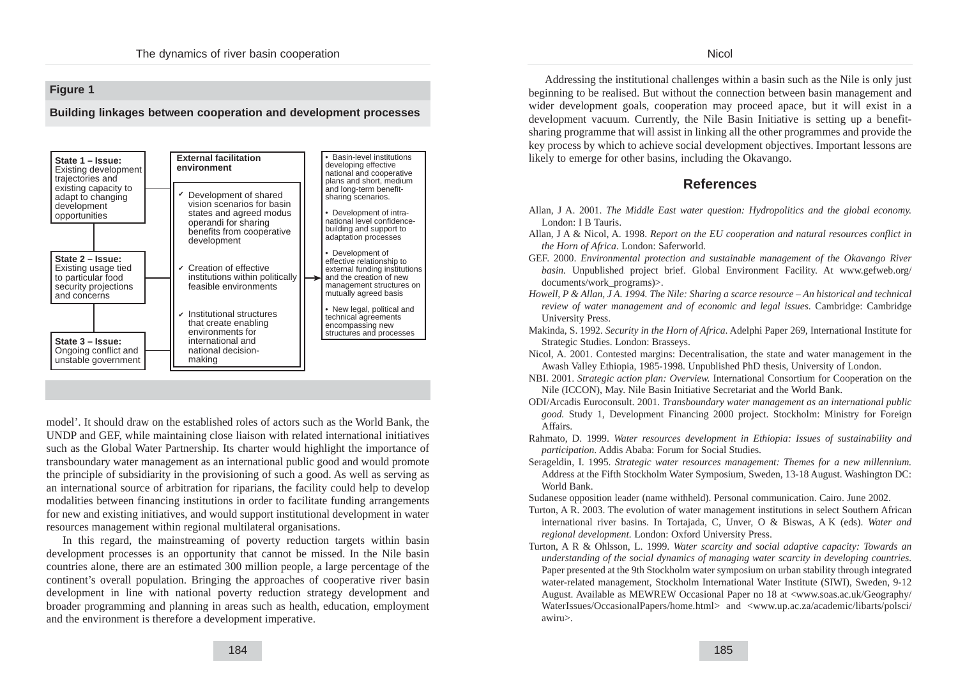#### **Nicol**

## **Figure 1**

#### **Building linkages between cooperation and development processes**



model'. It should draw on the established roles of actors such as the World Bank, the UNDP and GEF, while maintaining close liaison with related international initiatives such as the Global Water Partnership. Its charter would highlight the importance of transboundary water management as an international public good and would promote the principle of subsidiarity in the provisioning of such a good. As well as serving as an international source of arbitration for riparians, the facility could help to develop modalities between financing institutions in order to facilitate funding arrangements for new and existing initiatives, and would support institutional development in water resources management within regional multilateral organisations.

In this regard, the mainstreaming of poverty reduction targets within basin development processes is an opportunity that cannot be missed. In the Nile basin countries alone, there are an estimated 300 million people, a large percentage of the continent's overall population. Bringing the approaches of cooperative river basin development in line with national poverty reduction strategy development and broader programming and planning in areas such as health, education, employment and the environment is therefore a development imperative.

Addressing the institutional challenges within a basin such as the Nile is only just beginning to be realised. But without the connection between basin management and wider development goals, cooperation may proceed apace, but it will exist in a development vacuum. Currently, the Nile Basin Initiative is setting up a benefitsharing programme that will assist in linking all the other programmes and provide the key process by which to achieve social development objectives. Important lessons are likely to emerge for other basins, including the Okavango.

# **References**

- Allan, J A. 2001. *The Middle East water question: Hydropolitics and the global economy.* London: I B Tauris.
- Allan, J A & Nicol, A. 1998. *Report on the EU cooperation and natural resources conflict in the Horn of Africa*. London: Saferworld.
- GEF. 2000. *Environmental protection and sustainable management of the Okavango River basin.* Unpublished project brief. Global Environment Facility. At www.gefweb.org/ documents/work\_programs)>.
- *Howell, P & Allan, J A. 1994. The Nile: Sharing a scarce resource An historical and technical review of water management and of economic and legal issues*. Cambridge: Cambridge University Press.
- Makinda, S. 1992. *Security in the Horn of Africa*. Adelphi Paper 269, International Institute for Strategic Studies. London: Brasseys.
- Nicol, A. 2001. Contested margins: Decentralisation, the state and water management in the Awash Valley Ethiopia, 1985-1998. Unpublished PhD thesis, University of London.
- NBI. 2001. *Strategic action plan: Overview.* International Consortium for Cooperation on the Nile (ICCON), May. Nile Basin Initiative Secretariat and the World Bank.
- ODI/Arcadis Euroconsult. 2001. *Transboundary water management as an international public good.* Study 1, Development Financing 2000 project. Stockholm: Ministry for Foreign Affairs.
- Rahmato, D. 1999. *Water resources development in Ethiopia: Issues of sustainability and participation*. Addis Ababa: Forum for Social Studies.
- Serageldin, I. 1995. *Strategic water resources management: Themes for a new millennium.* Address at the Fifth Stockholm Water Symposium, Sweden, 13-18 August. Washington DC: World Bank.
- Sudanese opposition leader (name withheld). Personal communication. Cairo. June 2002.
- Turton, A R. 2003. The evolution of water management institutions in select Southern African international river basins. In Tortajada, C, Unver, O & Biswas, A K (eds). *Water and regional development.* London: Oxford University Press.
- Turton, A R & Ohlsson, L. 1999. *Water scarcity and social adaptive capacity: Towards an understanding of the social dynamics of managing water scarcity in developing countries.* Paper presented at the 9th Stockholm water symposium on urban stability through integrated water-related management, Stockholm International Water Institute (SIWI), Sweden, 9-12 August. Available as MEWREW Occasional Paper no 18 at <www.soas.ac.uk/Geography/ WaterIssues/OccasionalPapers/home.html> and <www.up.ac.za/academic/libarts/polsci/ awiru>.